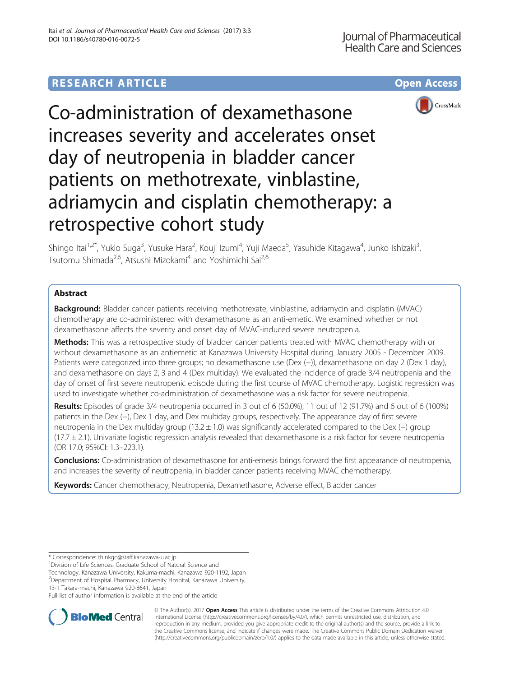# **RESEARCH ARTICLE Example 2014 12:30 The Contract of Contract ACCESS**



Co-administration of dexamethasone increases severity and accelerates onset day of neutropenia in bladder cancer patients on methotrexate, vinblastine, adriamycin and cisplatin chemotherapy: a retrospective cohort study

Shingo Itai<sup>1,2\*</sup>, Yukio Suga<sup>3</sup>, Yusuke Hara<sup>2</sup>, Kouji Izumi<sup>4</sup>, Yuji Maeda<sup>5</sup>, Yasuhide Kitagawa<sup>4</sup>, Junko Ishizaki<sup>3</sup> , Tsutomu Shimada<sup>2,6</sup>, Atsushi Mizokami<sup>4</sup> and Yoshimichi Sai<sup>2,6</sup>

## Abstract

Background: Bladder cancer patients receiving methotrexate, vinblastine, adriamycin and cisplatin (MVAC) chemotherapy are co-administered with dexamethasone as an anti-emetic. We examined whether or not dexamethasone affects the severity and onset day of MVAC-induced severe neutropenia.

**Methods:** This was a retrospective study of bladder cancer patients treated with MVAC chemotherapy with or without dexamethasone as an antiemetic at Kanazawa University Hospital during January 2005 - December 2009. Patients were categorized into three groups; no dexamethasone use (Dex (−)), dexamethasone on day 2 (Dex 1 day), and dexamethasone on days 2, 3 and 4 (Dex multiday). We evaluated the incidence of grade 3/4 neutropenia and the day of onset of first severe neutropenic episode during the first course of MVAC chemotherapy. Logistic regression was used to investigate whether co-administration of dexamethasone was a risk factor for severe neutropenia.

Results: Episodes of grade 3/4 neutropenia occurred in 3 out of 6 (50.0%), 11 out of 12 (91.7%) and 6 out of 6 (100%) patients in the Dex (−), Dex 1 day, and Dex multiday groups, respectively. The appearance day of first severe neutropenia in the Dex multiday group (13.2 ± 1.0) was significantly accelerated compared to the Dex (−) group  $(17.7 \pm 2.1)$ . Univariate logistic regression analysis revealed that dexamethasone is a risk factor for severe neutropenia (OR 17.0; 95%CI: 1.3–223.1).

Conclusions: Co-administration of dexamethasone for anti-emesis brings forward the first appearance of neutropenia, and increases the severity of neutropenia, in bladder cancer patients receiving MVAC chemotherapy.

Keywords: Cancer chemotherapy, Neutropenia, Dexamethasone, Adverse effect, Bladder cancer

<sup>1</sup> Division of Life Sciences, Graduate School of Natural Science and

Technology, Kanazawa University, Kakuma-machi, Kanazawa 920-1192, Japan

2 Department of Hospital Pharmacy, University Hospital, Kanazawa University, 13-1 Takara-machi, Kanazawa 920-8641, Japan

Full list of author information is available at the end of the article



© The Author(s). 2017 **Open Access** This article is distributed under the terms of the Creative Commons Attribution 4.0 International License [\(http://creativecommons.org/licenses/by/4.0/](http://creativecommons.org/licenses/by/4.0/)), which permits unrestricted use, distribution, and reproduction in any medium, provided you give appropriate credit to the original author(s) and the source, provide a link to the Creative Commons license, and indicate if changes were made. The Creative Commons Public Domain Dedication waiver [\(http://creativecommons.org/publicdomain/zero/1.0/](http://creativecommons.org/publicdomain/zero/1.0/)) applies to the data made available in this article, unless otherwise stated.

<sup>\*</sup> Correspondence: [thinkgo@staff.kanazawa-u.ac.jp](mailto:thinkgo@staff.kanazawa-u.ac.jp) <sup>1</sup>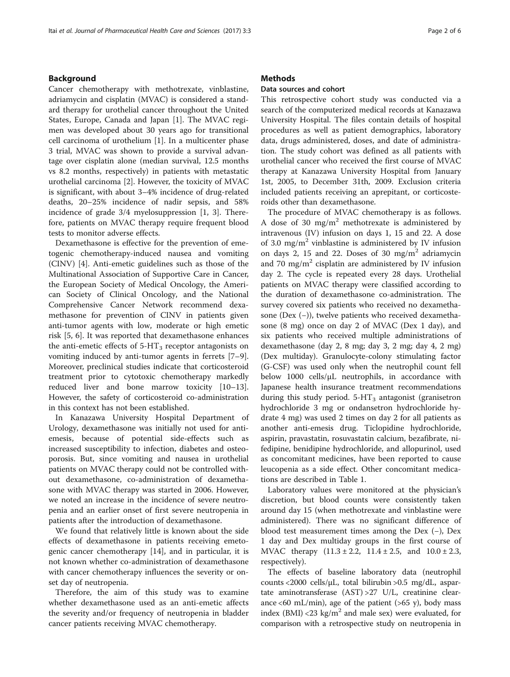## Background

Cancer chemotherapy with methotrexate, vinblastine, adriamycin and cisplatin (MVAC) is considered a standard therapy for urothelial cancer throughout the United States, Europe, Canada and Japan [[1\]](#page-4-0). The MVAC regimen was developed about 30 years ago for transitional cell carcinoma of urothelium [\[1](#page-4-0)]. In a multicenter phase 3 trial, MVAC was shown to provide a survival advantage over cisplatin alone (median survival, 12.5 months vs 8.2 months, respectively) in patients with metastatic urothelial carcinoma [[2](#page-4-0)]. However, the toxicity of MVAC is significant, with about 3–4% incidence of drug-related deaths, 20–25% incidence of nadir sepsis, and 58% incidence of grade 3/4 myelosuppression [[1, 3](#page-4-0)]. Therefore, patients on MVAC therapy require frequent blood tests to monitor adverse effects.

Dexamethasone is effective for the prevention of emetogenic chemotherapy-induced nausea and vomiting (CINV) [[4](#page-4-0)]. Anti-emetic guidelines such as those of the Multinational Association of Supportive Care in Cancer, the European Society of Medical Oncology, the American Society of Clinical Oncology, and the National Comprehensive Cancer Network recommend dexamethasone for prevention of CINV in patients given anti-tumor agents with low, moderate or high emetic risk [[5, 6](#page-4-0)]. It was reported that dexamethasone enhances the anti-emetic effects of  $5-HT_3$  receptor antagonists on vomiting induced by anti-tumor agents in ferrets [\[7](#page-4-0)–[9](#page-5-0)]. Moreover, preclinical studies indicate that corticosteroid treatment prior to cytotoxic chemotherapy markedly reduced liver and bone marrow toxicity [[10](#page-5-0)–[13](#page-5-0)]. However, the safety of corticosteroid co-administration in this context has not been established.

In Kanazawa University Hospital Department of Urology, dexamethasone was initially not used for antiemesis, because of potential side-effects such as increased susceptibility to infection, diabetes and osteoporosis. But, since vomiting and nausea in urothelial patients on MVAC therapy could not be controlled without dexamethasone, co-administration of dexamethasone with MVAC therapy was started in 2006. However, we noted an increase in the incidence of severe neutropenia and an earlier onset of first severe neutropenia in patients after the introduction of dexamethasone.

We found that relatively little is known about the side effects of dexamethasone in patients receiving emetogenic cancer chemotherapy [[14](#page-5-0)], and in particular, it is not known whether co-administration of dexamethasone with cancer chemotherapy influences the severity or onset day of neutropenia.

Therefore, the aim of this study was to examine whether dexamethasone used as an anti-emetic affects the severity and/or frequency of neutropenia in bladder cancer patients receiving MVAC chemotherapy.

## **Methods**

## Data sources and cohort

This retrospective cohort study was conducted via a search of the computerized medical records at Kanazawa University Hospital. The files contain details of hospital procedures as well as patient demographics, laboratory data, drugs administered, doses, and date of administration. The study cohort was defined as all patients with urothelial cancer who received the first course of MVAC therapy at Kanazawa University Hospital from January 1st, 2005, to December 31th, 2009. Exclusion criteria included patients receiving an aprepitant, or corticosteroids other than dexamethasone.

The procedure of MVAC chemotherapy is as follows. A dose of 30 mg/m<sup>2</sup> methotrexate is administered by intravenous (IV) infusion on days 1, 15 and 22. A dose of 3.0 mg/m<sup>2</sup> vinblastine is administered by IV infusion on days 2, 15 and 22. Doses of 30  $mg/m<sup>2</sup>$  adriamycin and 70 mg/m<sup>2</sup> cisplatin are administered by IV infusion day 2. The cycle is repeated every 28 days. Urothelial patients on MVAC therapy were classified according to the duration of dexamethasone co-administration. The survey covered six patients who received no dexamethasone (Dex (−)), twelve patients who received dexamethasone (8 mg) once on day 2 of MVAC (Dex 1 day), and six patients who received multiple administrations of dexamethasone (day 2, 8 mg; day 3, 2 mg; day 4, 2 mg) (Dex multiday). Granulocyte-colony stimulating factor (G-CSF) was used only when the neutrophil count fell below 1000 cells/μL neutrophils, in accordance with Japanese health insurance treatment recommendations during this study period.  $5-HT_3$  antagonist (granisetron hydrochloride 3 mg or ondansetron hydrochloride hydrate 4 mg) was used 2 times on day 2 for all patients as another anti-emesis drug. Ticlopidine hydrochloride, aspirin, pravastatin, rosuvastatin calcium, bezafibrate, nifedipine, benidipine hydrochloride, and allopurinol, used as concomitant medicines, have been reported to cause leucopenia as a side effect. Other concomitant medications are described in Table [1.](#page-2-0)

Laboratory values were monitored at the physician's discretion, but blood counts were consistently taken around day 15 (when methotrexate and vinblastine were administered). There was no significant difference of blood test measurement times among the Dex (−), Dex 1 day and Dex multiday groups in the first course of MVAC therapy  $(11.3 \pm 2.2, 11.4 \pm 2.5,$  and  $10.0 \pm 2.3$ , respectively).

The effects of baseline laboratory data (neutrophil counts <2000 cells/μL, total bilirubin >0.5 mg/dL, aspartate aminotransferase (AST) >27 U/L, creatinine clearance <60 mL/min), age of the patient ( $>65$  y), body mass index (BMI) <23 kg/m<sup>2</sup> and male sex) were evaluated, for comparison with a retrospective study on neutropenia in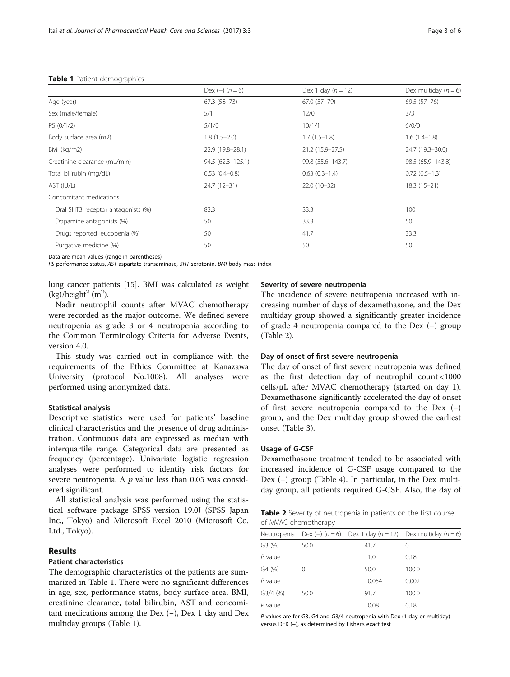## <span id="page-2-0"></span>Table 1 Patient demographics

| Dex $(-)$ $(n = 6)$  | Dex 1 day $(n = 12)$ | Dex multiday $(n = 6)$ |
|----------------------|----------------------|------------------------|
| $67.3(58-73)$        | 67.0 (57-79)         | 69.5 (57-76)           |
| 5/1                  | 12/0                 | 3/3                    |
| 5/1/0                | 10/1/1               | 6/0/0                  |
| $1.8(1.5-2.0)$       | $1.7(1.5-1.8)$       | $1.6(1.4-1.8)$         |
| 22.9 (19.8-28.1)     | 21.2 (15.9-27.5)     | 24.7 (19.3-30.0)       |
| $94.5(62.3 - 125.1)$ | 99.8 (55.6-143.7)    | 98.5 (65.9-143.8)      |
| $0.53(0.4-0.8)$      | $0.63(0.3-1.4)$      | $0.72(0.5-1.3)$        |
| 24.7 (12-31)         | $22.0(10-32)$        | $18.3(15-21)$          |
|                      |                      |                        |
| 83.3                 | 33.3                 | 100                    |
| 50                   | 33.3                 | 50                     |
| 50                   | 41.7                 | 33.3                   |
| 50                   | 50                   | 50                     |
|                      |                      |                        |

Data are mean values (range in parentheses)

PS performance status, AST aspartate transaminase, 5HT serotonin, BMI body mass index

lung cancer patients [[15](#page-5-0)]. BMI was calculated as weight  $(kg)/\text{height}^2$  (m<sup>2</sup>).

Nadir neutrophil counts after MVAC chemotherapy were recorded as the major outcome. We defined severe neutropenia as grade 3 or 4 neutropenia according to the Common Terminology Criteria for Adverse Events, version 4.0.

This study was carried out in compliance with the requirements of the Ethics Committee at Kanazawa University (protocol No.1008). All analyses were performed using anonymized data.

## Statistical analysis

Descriptive statistics were used for patients' baseline clinical characteristics and the presence of drug administration. Continuous data are expressed as median with interquartile range. Categorical data are presented as frequency (percentage). Univariate logistic regression analyses were performed to identify risk factors for severe neutropenia. A  $p$  value less than 0.05 was considered significant.

All statistical analysis was performed using the statistical software package SPSS version 19.0J (SPSS Japan Inc., Tokyo) and Microsoft Excel 2010 (Microsoft Co. Ltd., Tokyo).

## Results

#### Patient characteristics

The demographic characteristics of the patients are summarized in Table 1. There were no significant differences in age, sex, performance status, body surface area, BMI, creatinine clearance, total bilirubin, AST and concomitant medications among the Dex (−), Dex 1 day and Dex multiday groups (Table 1).

## Severity of severe neutropenia

The incidence of severe neutropenia increased with increasing number of days of dexamethasone, and the Dex multiday group showed a significantly greater incidence of grade 4 neutropenia compared to the Dex (−) group (Table 2).

## Day of onset of first severe neutropenia

The day of onset of first severe neutropenia was defined as the first detection day of neutrophil count <1000 cells/μL after MVAC chemotherapy (started on day 1). Dexamethasone significantly accelerated the day of onset of first severe neutropenia compared to the Dex (−) group, and the Dex multiday group showed the earliest onset (Table [3\)](#page-3-0).

## Usage of G-CSF

Dexamethasone treatment tended to be associated with increased incidence of G-CSF usage compared to the Dex (−) group (Table [4\)](#page-3-0). In particular, in the Dex multiday group, all patients required G-CSF. Also, the day of

| Table 2 Severity of neutropenia in patients on the first course |  |  |
|-----------------------------------------------------------------|--|--|
| of MVAC chemotherapy                                            |  |  |

|            |          |       | Neutropenia Dex (-) $(n=6)$ Dex 1 day $(n=12)$ Dex multiday $(n=6)$ |
|------------|----------|-------|---------------------------------------------------------------------|
| G3(%)      | 50.0     | 41.7  | $\left( \right)$                                                    |
| $P$ value  |          | 1.0   | 0.18                                                                |
| G4(%)      | $^{(1)}$ | 50.0  | 100.0                                                               |
| $P$ value  |          | 0.054 | 0.002                                                               |
| $G3/4$ (%) | 50.0     | 91.7  | 100.0                                                               |
| $P$ value  |          | 0.08  | 0.18                                                                |

P values are for G3, G4 and G3/4 neutropenia with Dex (1 day or multiday) versus DEX (−), as determined by Fisher's exact test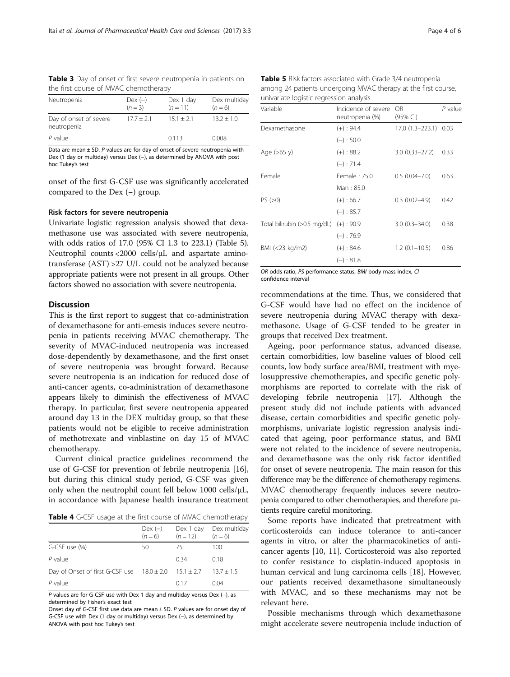<span id="page-3-0"></span>Table 3 Day of onset of first severe neutropenia in patients on the first course of MVAC chemotherapy

| Neutropenia                           | $Dev$ $(-)$<br>$(n=3)$ | Dex 1 day<br>$(n = 11)$ | Dex multiday<br>$(n=6)$ |
|---------------------------------------|------------------------|-------------------------|-------------------------|
| Day of onset of severe<br>neutropenia | $17.7 \pm 2.1$         | $15.1 + 2.1$            | $13.2 + 1.0$            |
| $P$ value                             |                        | 0.113                   | 0.008                   |

Data are mean  $\pm$  SD.  $P$  values are for day of onset of severe neutropenia with Dex (1 day or multiday) versus Dex (-), as determined by ANOVA with post hoc Tukey's test

onset of the first G-CSF use was significantly accelerated compared to the Dex (−) group.

## Risk factors for severe neutropenia

Univariate logistic regression analysis showed that dexamethasone use was associated with severe neutropenia, with odds ratios of 17.0 (95% CI 1.3 to 223.1) (Table 5). Neutrophil counts <2000 cells/μL and aspartate aminotransferase (AST) >27 U/L could not be analyzed because appropriate patients were not present in all groups. Other factors showed no association with severe neutropenia.

## **Discussion**

This is the first report to suggest that co-administration of dexamethasone for anti-emesis induces severe neutropenia in patients receiving MVAC chemotherapy. The severity of MVAC-induced neutropenia was increased dose-dependently by dexamethasone, and the first onset of severe neutropenia was brought forward. Because severe neutropenia is an indication for reduced dose of anti-cancer agents, co-administration of dexamethasone appears likely to diminish the effectiveness of MVAC therapy. In particular, first severe neutropenia appeared around day 13 in the DEX multiday group, so that these patients would not be eligible to receive administration of methotrexate and vinblastine on day 15 of MVAC chemotherapy.

Current clinical practice guidelines recommend the use of G-CSF for prevention of febrile neutropenia [\[16](#page-5-0)], but during this clinical study period, G-CSF was given only when the neutrophil count fell below 1000 cells/μL, in accordance with Japanese health insurance treatment

Table 4 G-CSF usage at the first course of MVAC chemotherapy

|                                                | $(n=6)$ | $(n=12)$       | $Dev$ $(-)$ Dex 1 day Dex multiday<br>$(n=6)$ |
|------------------------------------------------|---------|----------------|-----------------------------------------------|
| G-CSF use (%)                                  | 50      | 75             | 100                                           |
| $P$ value                                      |         | 0.34           | 0.18                                          |
| Day of Onset of first G-CSF use $18.0 \pm 2.0$ |         | $15.1 \pm 2.7$ | $13.7 + 1.5$                                  |
| $P$ value                                      |         | 0.17           | 0.04                                          |

P values are for G-CSF use with Dex 1 day and multiday versus Dex (−), as determined by Fisher's exact test

Onset day of G-CSF first use data are mean  $\pm$  SD. P values are for onset day of G-CSF use with Dex (1 day or multiday) versus Dex (−), as determined by ANOVA with post hoc Tukey's test

| Variable      | Incidence of severe OR |                       | $P$ value |
|---------------|------------------------|-----------------------|-----------|
|               | neutropenia (%)        | (95% CI)              |           |
| Dexamethasone | $(+)$ : 94.4           | 17.0 (1.3-223.1) 0.03 |           |
|               | $(-): 50.0$            |                       |           |
| Age (>65 y)   | $(+)$ : 88.2           | $3.0(0.33 - 27.2)$    | 0.33      |
|               | $(-): 71.4$            |                       |           |
| Female        | Female: 75.0           | $0.5(0.04 - 7.0)$     | 0.63      |
|               | Man: 85.0              |                       |           |
| PS ( > 0)     | $(+)$ : 66.7           | $0.3(0.02 - 4.9)$     | 0.42      |
|               | $(-): 85.7$            |                       |           |
|               |                        |                       |           |

| Table 5 Risk factors associated with Grade 3/4 neutropenia     |
|----------------------------------------------------------------|
| among 24 patients undergoing MVAC therapy at the first course, |
| univariate logistic regression analysis                        |

| Total bilirubin (>0.5 mg/dL) (+): 90.9 |              | $3.0(0.3 - 34.0)$ | 0.38 |
|----------------------------------------|--------------|-------------------|------|
|                                        | $(-)$ : 76.9 |                   |      |
| BMI (<23 kg/m2)                        | $(+)$ : 84.6 | $1.2(0.1 - 10.5)$ | 0.86 |
|                                        | $(-): 81.8$  |                   |      |

OR odds ratio, PS performance status, BMI body mass index, CI confidence interval

recommendations at the time. Thus, we considered that G-CSF would have had no effect on the incidence of severe neutropenia during MVAC therapy with dexamethasone. Usage of G-CSF tended to be greater in groups that received Dex treatment.

Ageing, poor performance status, advanced disease, certain comorbidities, low baseline values of blood cell counts, low body surface area/BMI, treatment with myelosuppressive chemotherapies, and specific genetic polymorphisms are reported to correlate with the risk of developing febrile neutropenia [[17\]](#page-5-0). Although the present study did not include patients with advanced disease, certain comorbidities and specific genetic polymorphisms, univariate logistic regression analysis indicated that ageing, poor performance status, and BMI were not related to the incidence of severe neutropenia, and dexamethasone was the only risk factor identified for onset of severe neutropenia. The main reason for this difference may be the difference of chemotherapy regimens. MVAC chemotherapy frequently induces severe neutropenia compared to other chemotherapies, and therefore patients require careful monitoring.

Some reports have indicated that pretreatment with corticosteroids can induce tolerance to anti-cancer agents in vitro, or alter the pharmacokinetics of anticancer agents [\[10, 11\]](#page-5-0). Corticosteroid was also reported to confer resistance to cisplatin-induced apoptosis in human cervical and lung carcinoma cells [[18\]](#page-5-0). However, our patients received dexamethasone simultaneously with MVAC, and so these mechanisms may not be relevant here.

Possible mechanisms through which dexamethasone might accelerate severe neutropenia include induction of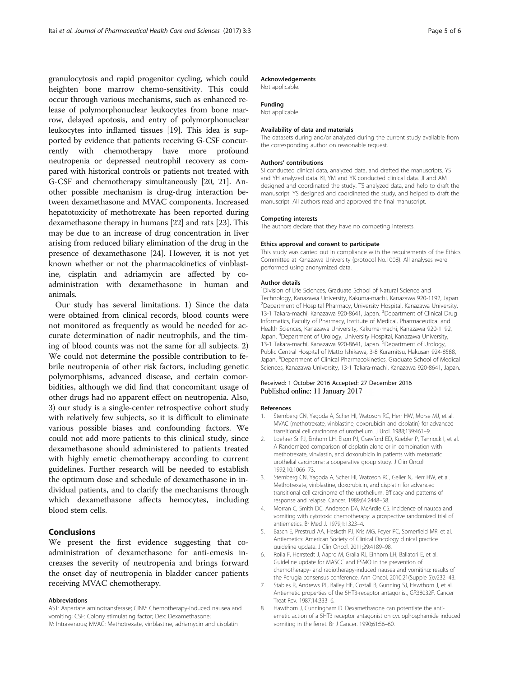<span id="page-4-0"></span>granulocytosis and rapid progenitor cycling, which could heighten bone marrow chemo-sensitivity. This could occur through various mechanisms, such as enhanced release of polymorphonuclear leukocytes from bone marrow, delayed apotosis, and entry of polymorphonuclear leukocytes into inflamed tissues [\[19\]](#page-5-0). This idea is supported by evidence that patients receiving G-CSF concurrently with chemotherapy have more profound neutropenia or depressed neutrophil recovery as compared with historical controls or patients not treated with G-CSF and chemotherapy simultaneously [\[20, 21\]](#page-5-0). Another possible mechanism is drug-drug interaction between dexamethasone and MVAC components. Increased hepatotoxicity of methotrexate has been reported during dexamethasone therapy in humans [\[22\]](#page-5-0) and rats [\[23\]](#page-5-0). This may be due to an increase of drug concentration in liver arising from reduced biliary elimination of the drug in the presence of dexamethasone [\[24\]](#page-5-0). However, it is not yet known whether or not the pharmacokinetics of vinblastine, cisplatin and adriamycin are affected by coadministration with dexamethasone in human and animals.

Our study has several limitations. 1) Since the data were obtained from clinical records, blood counts were not monitored as frequently as would be needed for accurate determination of nadir neutrophils, and the timing of blood counts was not the same for all subjects. 2) We could not determine the possible contribution to febrile neutropenia of other risk factors, including genetic polymorphisms, advanced disease, and certain comorbidities, although we did find that concomitant usage of other drugs had no apparent effect on neutropenia. Also, 3) our study is a single-center retrospective cohort study with relatively few subjects, so it is difficult to eliminate various possible biases and confounding factors. We could not add more patients to this clinical study, since dexamethasone should administered to patients treated with highly emetic chemotherapy according to current guidelines. Further research will be needed to establish the optimum dose and schedule of dexamethasone in individual patients, and to clarify the mechanisms through which dexamethasone affects hemocytes, including blood stem cells.

## Conclusions

We present the first evidence suggesting that coadministration of dexamethasone for anti-emesis increases the severity of neutropenia and brings forward the onset day of neutropenia in bladder cancer patients receiving MVAC chemotherapy.

#### Abbreviations

## Acknowledgements

Not applicable.

#### Funding Not applicable.

### Availability of data and materials

The datasets during and/or analyzed during the current study available from the corresponding author on reasonable request.

## Authors' contributions

SI conducted clinical data, analyzed data, and drafted the manuscripts. YS and YH analyzed data. KI, YM and YK conducted clinical data. JI and AM designed and coordinated the study. TS analyzed data, and help to draft the manuscript. YS designed and coordinated the study, and helped to draft the manuscript. All authors read and approved the final manuscript.

#### Competing interests

The authors declare that they have no competing interests.

#### Ethics approval and consent to participate

This study was carried out in compliance with the requirements of the Ethics Committee at Kanazawa University (protocol No.1008). All analyses were performed using anonymized data.

#### Author details

<sup>1</sup> Division of Life Sciences, Graduate School of Natural Science and Technology, Kanazawa University, Kakuma-machi, Kanazawa 920-1192, Japan. 2 Department of Hospital Pharmacy, University Hospital, Kanazawa University, 13-1 Takara-machi, Kanazawa 920-8641, Japan. <sup>3</sup>Department of Clinical Drug Informatics, Faculty of Pharmacy, Institute of Medical, Pharmaceutical and Health Sciences, Kanazawa University, Kakuma-machi, Kanazawa 920-1192, Japan. <sup>4</sup> Department of Urology, University Hospital, Kanazawa University, 13-1 Takara-machi, Kanazawa 920-8641, Japan. <sup>5</sup>Department of Urology, Public Central Hospital of Matto Ishikawa, 3-8 Kuramitsu, Hakusan 924-8588, Japan. <sup>6</sup>Department of Clinical Pharmacokinetics, Graduate School of Medical Sciences, Kanazawa University, 13-1 Takara-machi, Kanazawa 920-8641, Japan.

#### Received: 1 October 2016 Accepted: 27 December 2016 Published online: 11 January 2017

#### References

- 1. Sternberg CN, Yagoda A, Scher HI, Watoson RC, Herr HW, Morse MJ, et al. MVAC (methotrexate, vinblastine, doxorubicin and cisplatin) for advanced transitional cell carcinoma of urothelium. J Urol. 1988;139:461–9.
- 2. Loehrer Sr PJ, Einhorn LH, Elson PJ, Crawford ED, Kuebler P, Tannock I, et al. A Randomized comparison of cisplatin alone or in combination with methotrexate, vinvlastin, and doxorubicin in patients with metastatic urothelial carcinoma: a cooperative group study. J Clin Oncol. 1992;10:1066–73.
- 3. Sternberg CN, Yagoda A, Scher HI, Watoson RC, Geller N, Herr HW, et al. Methotrexate, vinblastine, doxorubicin, and cisplatin for advanced transitional cell carcinoma of the urothelium. Efficacy and patterns of response and relapse. Cancer. 1989;64:2448–58.
- 4. Morran C, Smith DC, Anderson DA, McArdle CS. Incidence of nausea and vomiting with cytotoxic chemotherapy: a prospective randomized trial of antiemetics. Br Med J. 1979;1:1323–4.
- 5. Basch E, Prestrud AA, Hesketh PJ, Kris MG, Feyer PC, Somerfield MR, et al. Antiemetics: American Society of Clinical Oncology clinical practice guideline update. J Clin Oncol. 2011;29:4189–98.
- Roila F, Herrstedt J, Aapro M, Gralla RJ, Einhorn LH, Ballatori E, et al. Guideline update for MASCC and ESMO in the prevention of chemotherapy- and radiotherapy-induced nausea and vomiting: results of the Perugia consensus conference. Ann Oncol. 2010;21(Supple 5):v232–43.
- 7. Stables R, Andrews PL, Bailey HE, Costall B, Gunning SJ, Hawthorn J, et al. Antiemetic properties of the 5HT3-receptor antagonist, GR38032F. Cancer Treat Rev. 1987;14:333–6.
- 8. Hawthorn J, Cunningham D. Dexamethasone can potentiate the antiemetic action of a 5HT3 receptor antagonist on cyclophosphamide induced vomiting in the ferret. Br J Cancer. 1990;61:56–60.

AST: Aspartate aminotransferase; CINV: Chemotherapy-induced nausea and vomiting; CSF: Colony stimulating factor; Dex: Dexamethasone; IV: Intravenous; MVAC: Methotrexate, vinblastine, adriamycin and cisplatin